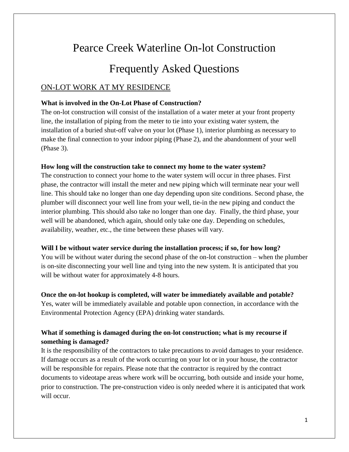# Pearce Creek Waterline On-lot Construction

# Frequently Asked Questions

# ON-LOT WORK AT MY RESIDENCE

#### **What is involved in the On-Lot Phase of Construction?**

The on-lot construction will consist of the installation of a water meter at your front property line, the installation of piping from the meter to tie into your existing water system, the installation of a buried shut-off valve on your lot (Phase 1), interior plumbing as necessary to make the final connection to your indoor piping (Phase 2), and the abandonment of your well (Phase 3).

#### **How long will the construction take to connect my home to the water system?**

The construction to connect your home to the water system will occur in three phases. First phase, the contractor will install the meter and new piping which will terminate near your well line. This should take no longer than one day depending upon site conditions. Second phase, the plumber will disconnect your well line from your well, tie-in the new piping and conduct the interior plumbing. This should also take no longer than one day. Finally, the third phase, your well will be abandoned, which again, should only take one day. Depending on schedules, availability, weather, etc., the time between these phases will vary.

#### **Will I be without water service during the installation process; if so, for how long?**

You will be without water during the second phase of the on-lot construction – when the plumber is on-site disconnecting your well line and tying into the new system. It is anticipated that you will be without water for approximately 4-8 hours.

#### **Once the on-lot hookup is completed, will water be immediately available and potable?**

Yes, water will be immediately available and potable upon connection, in accordance with the Environmental Protection Agency (EPA) drinking water standards.

### **What if something is damaged during the on-lot construction; what is my recourse if something is damaged?**

It is the responsibility of the contractors to take precautions to avoid damages to your residence. If damage occurs as a result of the work occurring on your lot or in your house, the contractor will be responsible for repairs. Please note that the contractor is required by the contract documents to videotape areas where work will be occurring, both outside and inside your home, prior to construction. The pre-construction video is only needed where it is anticipated that work will occur.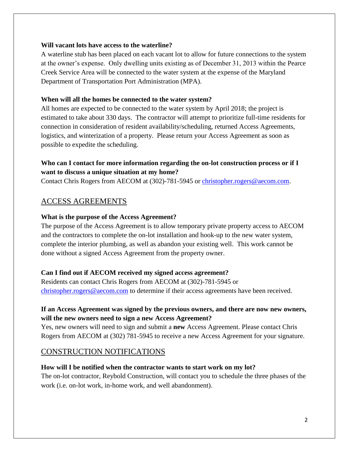#### **Will vacant lots have access to the waterline?**

A waterline stub has been placed on each vacant lot to allow for future connections to the system at the owner's expense. Only dwelling units existing as of December 31, 2013 within the Pearce Creek Service Area will be connected to the water system at the expense of the Maryland Department of Transportation Port Administration (MPA).

#### **When will all the homes be connected to the water system?**

All homes are expected to be connected to the water system by April 2018; the project is estimated to take about 330 days. The contractor will attempt to prioritize full-time residents for connection in consideration of resident availability/scheduling, returned Access Agreements, logistics, and winterization of a property. Please return your Access Agreement as soon as possible to expedite the scheduling.

#### **Who can I contact for more information regarding the on-lot construction process or if I want to discuss a unique situation at my home?**

Contact Chris Rogers from AECOM at (302)-781-5945 or [christopher.rogers@aecom.com.](mailto:christopher.rogers@aecom.com)

# ACCESS AGREEMENTS

#### **What is the purpose of the Access Agreement?**

The purpose of the Access Agreement is to allow temporary private property access to AECOM and the contractors to complete the on-lot installation and hook-up to the new water system, complete the interior plumbing, as well as abandon your existing well. This work cannot be done without a signed Access Agreement from the property owner.

#### **Can I find out if AECOM received my signed access agreement?**

Residents can contact Chris Rogers from AECOM at (302)-781-5945 or [christopher.rogers@aecom.com](mailto:christopher.rogers@aecom.com) to determine if their access agreements have been received.

#### **If an Access Agreement was signed by the previous owners, and there are now new owners, will the new owners need to sign a new Access Agreement?**

Yes, new owners will need to sign and submit a **new** Access Agreement. Please contact Chris Rogers from AECOM at (302) 781-5945 to receive a new Access Agreement for your signature.

# CONSTRUCTION NOTIFICATIONS

#### **How will I be notified when the contractor wants to start work on my lot?**

The on-lot contractor, Reybold Construction, will contact you to schedule the three phases of the work (i.e. on-lot work, in-home work, and well abandonment).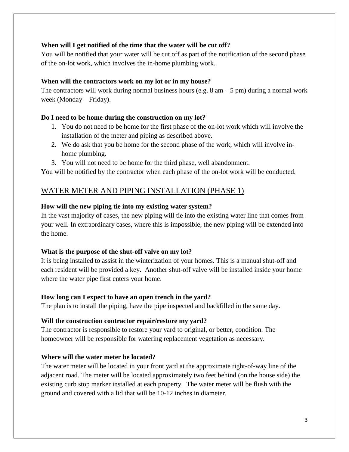#### **When will I get notified of the time that the water will be cut off?**

You will be notified that your water will be cut off as part of the notification of the second phase of the on-lot work, which involves the in-home plumbing work.

#### **When will the contractors work on my lot or in my house?**

The contractors will work during normal business hours (e.g.  $8 \text{ am} - 5 \text{ pm}$ ) during a normal work week (Monday – Friday).

#### **Do I need to be home during the construction on my lot?**

- 1. You do not need to be home for the first phase of the on-lot work which will involve the installation of the meter and piping as described above.
- 2. We do ask that you be home for the second phase of the work, which will involve inhome plumbing.
- 3. You will not need to be home for the third phase, well abandonment.

You will be notified by the contractor when each phase of the on-lot work will be conducted.

# WATER METER AND PIPING INSTALLATION (PHASE 1)

#### **How will the new piping tie into my existing water system?**

In the vast majority of cases, the new piping will tie into the existing water line that comes from your well. In extraordinary cases, where this is impossible, the new piping will be extended into the home.

#### **What is the purpose of the shut-off valve on my lot?**

It is being installed to assist in the winterization of your homes. This is a manual shut-off and each resident will be provided a key. Another shut-off valve will be installed inside your home where the water pipe first enters your home.

#### **How long can I expect to have an open trench in the yard?**

The plan is to install the piping, have the pipe inspected and backfilled in the same day.

#### **Will the construction contractor repair/restore my yard?**

The contractor is responsible to restore your yard to original, or better, condition. The homeowner will be responsible for watering replacement vegetation as necessary.

#### **Where will the water meter be located?**

The water meter will be located in your front yard at the approximate right-of-way line of the adjacent road. The meter will be located approximately two feet behind (on the house side) the existing curb stop marker installed at each property. The water meter will be flush with the ground and covered with a lid that will be 10-12 inches in diameter.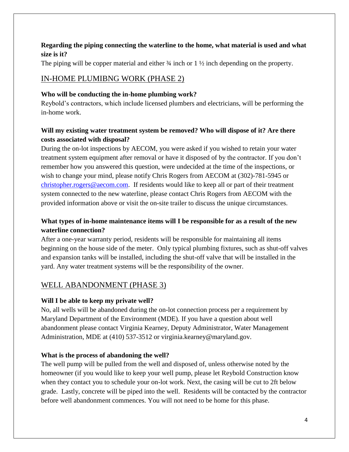#### **Regarding the piping connecting the waterline to the home, what material is used and what size is it?**

The piping will be copper material and either  $\frac{3}{4}$  inch or 1  $\frac{1}{2}$  inch depending on the property.

# IN-HOME PLUMIBNG WORK (PHASE 2)

#### **Who will be conducting the in-home plumbing work?**

Reybold's contractors, which include licensed plumbers and electricians, will be performing the in-home work.

### **Will my existing water treatment system be removed? Who will dispose of it? Are there costs associated with disposal?**

During the on-lot inspections by AECOM, you were asked if you wished to retain your water treatment system equipment after removal or have it disposed of by the contractor. If you don't remember how you answered this question, were undecided at the time of the inspections, or wish to change your mind, please notify Chris Rogers from AECOM at (302)-781-5945 or [christopher.rogers@aecom.com.](mailto:christopher.rogers@aecom.com) If residents would like to keep all or part of their treatment system connected to the new waterline, please contact Chris Rogers from AECOM with the provided information above or visit the on-site trailer to discuss the unique circumstances.

### **What types of in-home maintenance items will I be responsible for as a result of the new waterline connection?**

After a one-year warranty period, residents will be responsible for maintaining all items beginning on the house side of the meter. Only typical plumbing fixtures, such as shut-off valves and expansion tanks will be installed, including the shut-off valve that will be installed in the yard. Any water treatment systems will be the responsibility of the owner.

## WELL ABANDONMENT (PHASE 3)

#### **Will I be able to keep my private well?**

No, all wells will be abandoned during the on-lot connection process per a requirement by Maryland Department of the Environment (MDE). If you have a question about well abandonment please contact Virginia Kearney, Deputy Administrator, Water Management Administration, MDE at (410) 537-3512 or virginia.kearney@maryland.gov.

#### **What is the process of abandoning the well?**

The well pump will be pulled from the well and disposed of, unless otherwise noted by the homeowner (if you would like to keep your well pump, please let Reybold Construction know when they contact you to schedule your on-lot work. Next, the casing will be cut to 2ft below grade. Lastly, concrete will be piped into the well. Residents will be contacted by the contractor before well abandonment commences. You will not need to be home for this phase.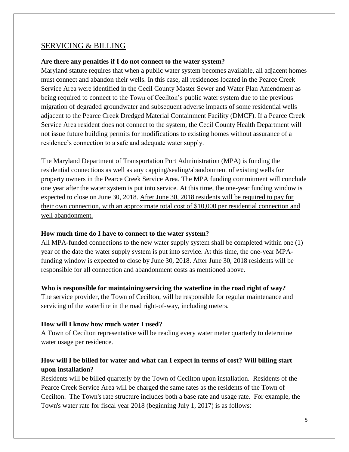#### SERVICING & BILLING

#### **Are there any penalties if I do not connect to the water system?**

Maryland statute requires that when a public water system becomes available, all adjacent homes must connect and abandon their wells. In this case, all residences located in the Pearce Creek Service Area were identified in the Cecil County Master Sewer and Water Plan Amendment as being required to connect to the Town of Cecilton's public water system due to the previous migration of degraded groundwater and subsequent adverse impacts of some residential wells adjacent to the Pearce Creek Dredged Material Containment Facility (DMCF). If a Pearce Creek Service Area resident does not connect to the system, the Cecil County Health Department will not issue future building permits for modifications to existing homes without assurance of a residence's connection to a safe and adequate water supply.

The Maryland Department of Transportation Port Administration (MPA) is funding the residential connections as well as any capping/sealing/abandonment of existing wells for property owners in the Pearce Creek Service Area. The MPA funding commitment will conclude one year after the water system is put into service. At this time, the one-year funding window is expected to close on June 30, 2018. After June 30, 2018 residents will be required to pay for their own connection, with an approximate total cost of \$10,000 per residential connection and well abandonment.

#### **How much time do I have to connect to the water system?**

All MPA-funded connections to the new water supply system shall be completed within one (1) year of the date the water supply system is put into service. At this time, the one-year MPAfunding window is expected to close by June 30, 2018. After June 30, 2018 residents will be responsible for all connection and abandonment costs as mentioned above.

#### **Who is responsible for maintaining/servicing the waterline in the road right of way?**

The service provider, the Town of Cecilton, will be responsible for regular maintenance and servicing of the waterline in the road right-of-way, including meters.

#### **How will I know how much water I used?**

A Town of Cecilton representative will be reading every water meter quarterly to determine water usage per residence.

#### **How will I be billed for water and what can I expect in terms of cost? Will billing start upon installation?**

Residents will be billed quarterly by the Town of Cecilton upon installation. Residents of the Pearce Creek Service Area will be charged the same rates as the residents of the Town of Cecilton. The Town's rate structure includes both a base rate and usage rate. For example, the Town's water rate for fiscal year 2018 (beginning July 1, 2017) is as follows: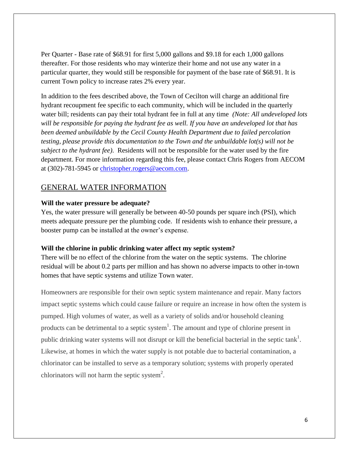Per Quarter - Base rate of \$68.91 for first 5,000 gallons and \$9.18 for each 1,000 gallons thereafter. For those residents who may winterize their home and not use any water in a particular quarter, they would still be responsible for payment of the base rate of \$68.91. It is current Town policy to increase rates 2% every year.

In addition to the fees described above, the Town of Cecilton will charge an additional fire hydrant recoupment fee specific to each community, which will be included in the quarterly water bill; residents can pay their total hydrant fee in full at any time *(Note: All undeveloped lots will be responsible for paying the hydrant fee as well. If you have an undeveloped lot that has been deemed unbuildable by the Cecil County Health Department due to failed percolation testing, please provide this documentation to the Town and the unbuildable lot(s) will not be subject to the hydrant fee)*. Residents will not be responsible for the water used by the fire department. For more information regarding this fee, please contact Chris Rogers from AECOM at (302)-781-5945 or [christopher.rogers@aecom.com.](mailto:christopher.rogers@aecom.com)

#### GENERAL WATER INFORMATION

#### **Will the water pressure be adequate?**

Yes, the water pressure will generally be between 40-50 pounds per square inch (PSI), which meets adequate pressure per the plumbing code. If residents wish to enhance their pressure, a booster pump can be installed at the owner's expense.

#### **Will the chlorine in public drinking water affect my septic system?**

There will be no effect of the chlorine from the water on the septic systems. The chlorine residual will be about 0.2 parts per million and has shown no adverse impacts to other in-town homes that have septic systems and utilize Town water.

Homeowners are responsible for their own septic system maintenance and repair. Many factors impact septic systems which could cause failure or require an increase in how often the system is pumped. High volumes of water, as well as a variety of solids and/or household cleaning products can be detrimental to a septic system<sup>1</sup>. The amount and type of chlorine present in public drinking water systems will not disrupt or kill the beneficial bacterial in the septic tank<sup>1</sup>. Likewise, at homes in which the water supply is not potable due to bacterial contamination, a chlorinator can be installed to serve as a temporary solution; systems with properly operated chlorinators will not harm the septic system<sup>2</sup>.